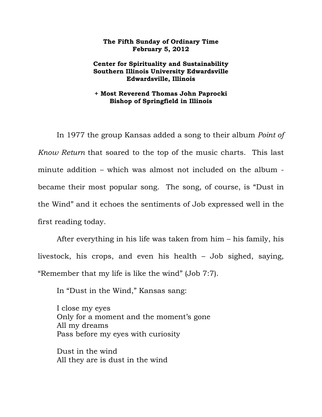## **The Fifth Sunday of Ordinary Time February 5, 2012**

## **Center for Spirituality and Sustainability Southern Illinois University Edwardsville Edwardsville, Illinois**

## **+ Most Reverend Thomas John Paprocki Bishop of Springfield in Illinois**

In 1977 the group Kansas added a song to their album *Point of Know Return* that soared to the top of the music charts. This last minute addition – which was almost not included on the album became their most popular song. The song, of course, is "Dust in the Wind" and it echoes the sentiments of Job expressed well in the first reading today.

After everything in his life was taken from him – his family, his livestock, his crops, and even his health – Job sighed, saying, "Remember that my life is like the wind" (Job 7:7).

In "Dust in the Wind," Kansas sang:

I close my eyes Only for a moment and the moment's gone All my dreams Pass before my eyes with curiosity

Dust in the wind All they are is dust in the wind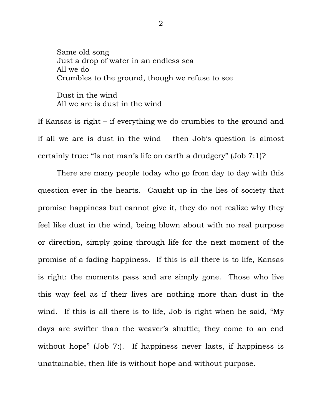Same old song Just a drop of water in an endless sea All we do Crumbles to the ground, though we refuse to see Dust in the wind All we are is dust in the wind

If Kansas is right – if everything we do crumbles to the ground and if all we are is dust in the wind – then Job's question is almost certainly true: "Is not man's life on earth a drudgery" (Job 7:1)?

 There are many people today who go from day to day with this question ever in the hearts. Caught up in the lies of society that promise happiness but cannot give it, they do not realize why they feel like dust in the wind, being blown about with no real purpose or direction, simply going through life for the next moment of the promise of a fading happiness. If this is all there is to life, Kansas is right: the moments pass and are simply gone. Those who live this way feel as if their lives are nothing more than dust in the wind. If this is all there is to life, Job is right when he said, "My days are swifter than the weaver's shuttle; they come to an end without hope" (Job 7:). If happiness never lasts, if happiness is unattainable, then life is without hope and without purpose.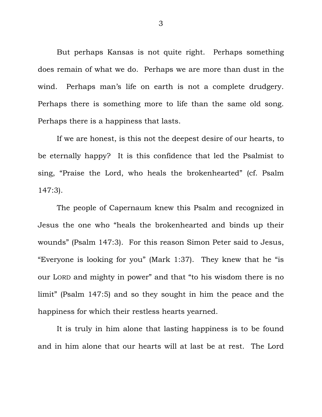But perhaps Kansas is not quite right. Perhaps something does remain of what we do. Perhaps we are more than dust in the wind. Perhaps man's life on earth is not a complete drudgery. Perhaps there is something more to life than the same old song. Perhaps there is a happiness that lasts.

 If we are honest, is this not the deepest desire of our hearts, to be eternally happy? It is this confidence that led the Psalmist to sing, "Praise the Lord, who heals the brokenhearted" (cf. Psalm 147:3).

 The people of Capernaum knew this Psalm and recognized in Jesus the one who "heals the brokenhearted and binds up their wounds" (Psalm 147:3). For this reason Simon Peter said to Jesus, "Everyone is looking for you" (Mark 1:37). They knew that he "is our LORD and mighty in power" and that "to his wisdom there is no limit" (Psalm 147:5) and so they sought in him the peace and the happiness for which their restless hearts yearned.

 It is truly in him alone that lasting happiness is to be found and in him alone that our hearts will at last be at rest. The Lord

3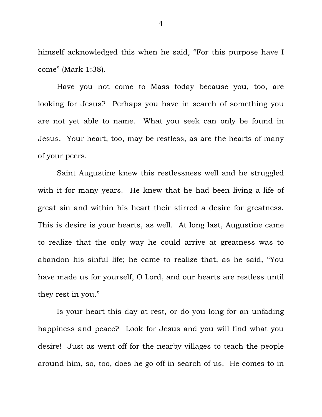himself acknowledged this when he said, "For this purpose have I come" (Mark 1:38).

 Have you not come to Mass today because you, too, are looking for Jesus? Perhaps you have in search of something you are not yet able to name. What you seek can only be found in Jesus. Your heart, too, may be restless, as are the hearts of many of your peers.

 Saint Augustine knew this restlessness well and he struggled with it for many years. He knew that he had been living a life of great sin and within his heart their stirred a desire for greatness. This is desire is your hearts, as well. At long last, Augustine came to realize that the only way he could arrive at greatness was to abandon his sinful life; he came to realize that, as he said, "You have made us for yourself, O Lord, and our hearts are restless until they rest in you."

 Is your heart this day at rest, or do you long for an unfading happiness and peace? Look for Jesus and you will find what you desire! Just as went off for the nearby villages to teach the people around him, so, too, does he go off in search of us. He comes to in

4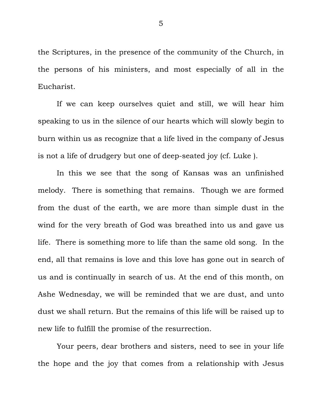the Scriptures, in the presence of the community of the Church, in the persons of his ministers, and most especially of all in the Eucharist.

 If we can keep ourselves quiet and still, we will hear him speaking to us in the silence of our hearts which will slowly begin to burn within us as recognize that a life lived in the company of Jesus is not a life of drudgery but one of deep-seated joy (cf. Luke ).

 In this we see that the song of Kansas was an unfinished melody. There is something that remains. Though we are formed from the dust of the earth, we are more than simple dust in the wind for the very breath of God was breathed into us and gave us life. There is something more to life than the same old song. In the end, all that remains is love and this love has gone out in search of us and is continually in search of us. At the end of this month, on Ashe Wednesday, we will be reminded that we are dust, and unto dust we shall return. But the remains of this life will be raised up to new life to fulfill the promise of the resurrection.

 Your peers, dear brothers and sisters, need to see in your life the hope and the joy that comes from a relationship with Jesus